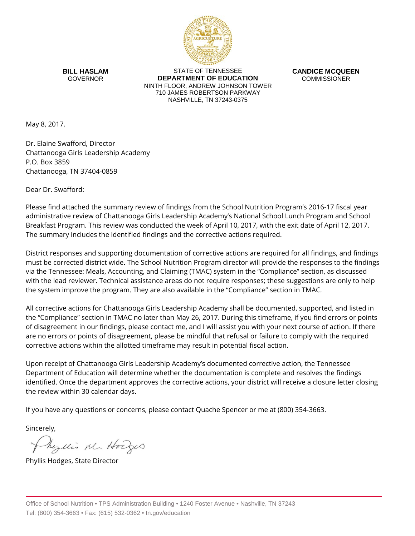

**BILL HASLAM** GOVERNOR

STATE OF TENNESSEE **DEPARTMENT OF EDUCATION** NINTH FLOOR, ANDREW JOHNSON TOWER 710 JAMES ROBERTSON PARKWAY NASHVILLE, TN 37243-0375

**CANDICE MCQUEEN** COMMISSIONER

May 8, 2017,

Dr. Elaine Swafford, Director Chattanooga Girls Leadership Academy P.O. Box 3859 Chattanooga, TN 37404-0859

Dear Dr. Swafford:

Please find attached the summary review of findings from the School Nutrition Program's 2016-17 fiscal year administrative review of Chattanooga Girls Leadership Academy's National School Lunch Program and School Breakfast Program. This review was conducted the week of April 10, 2017, with the exit date of April 12, 2017. The summary includes the identified findings and the corrective actions required.

District responses and supporting documentation of corrective actions are required for all findings, and findings must be corrected district wide. The School Nutrition Program director will provide the responses to the findings via the Tennessee: Meals, Accounting, and Claiming (TMAC) system in the "Compliance" section, as discussed with the lead reviewer. Technical assistance areas do not require responses; these suggestions are only to help the system improve the program. They are also available in the "Compliance" section in TMAC.

All corrective actions for Chattanooga Girls Leadership Academy shall be documented, supported, and listed in the "Compliance" section in TMAC no later than May 26, 2017. During this timeframe, if you find errors or points of disagreement in our findings, please contact me, and I will assist you with your next course of action. If there are no errors or points of disagreement, please be mindful that refusal or failure to comply with the required corrective actions within the allotted timeframe may result in potential fiscal action.

Upon receipt of Chattanooga Girls Leadership Academy's documented corrective action, the Tennessee Department of Education will determine whether the documentation is complete and resolves the findings identified. Once the department approves the corrective actions, your district will receive a closure letter closing the review within 30 calendar days.

If you have any questions or concerns, please contact Quache Spencer or me at (800) 354-3663.

Sincerely,

Myllis M. Hodges

Phyllis Hodges, State Director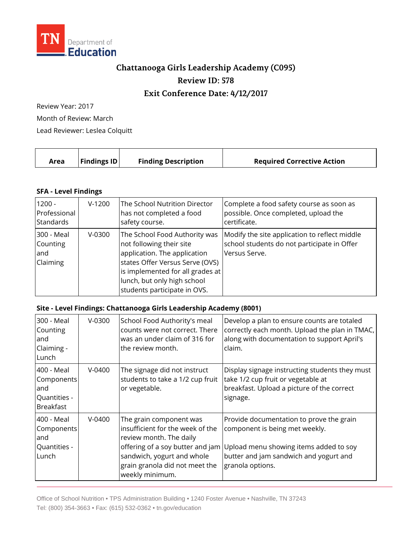

## **Chattanooga Girls Leadership Academy (C095) Review ID: 578**

## **Exit Conference Date: 4/12/2017**

Review Year: 2017

Month of Review: March

Lead Reviewer: Leslea Colquitt

|  | Area | $\vert$ Findings ID $\vert$ | <b>Finding Description</b> | <b>Required Corrective Action</b> |
|--|------|-----------------------------|----------------------------|-----------------------------------|
|--|------|-----------------------------|----------------------------|-----------------------------------|

## **SFA - Level Findings**

| $1200 -$                                   | $V-1200$ | The School Nutrition Director                                                                                                                                                                                                   | Complete a food safety course as soon as                                                                      |
|--------------------------------------------|----------|---------------------------------------------------------------------------------------------------------------------------------------------------------------------------------------------------------------------------------|---------------------------------------------------------------------------------------------------------------|
| Professional                               |          | has not completed a food                                                                                                                                                                                                        | possible. Once completed, upload the                                                                          |
| Standards                                  |          | safety course.                                                                                                                                                                                                                  | certificate.                                                                                                  |
| 300 - Meal<br>Counting<br>land<br>Claiming | $V-0300$ | The School Food Authority was<br>not following their site<br>application. The application<br>states Offer Versus Serve (OVS)<br>is implemented for all grades at<br>lunch, but only high school<br>students participate in OVS. | Modify the site application to reflect middle<br>school students do not participate in Offer<br>Versus Serve. |

## **Site - Level Findings: Chattanooga Girls Leadership Academy (8001)**

| 300 - Meal<br>Counting<br>land<br>Claiming -<br>Lunch                | $V-0300$ | School Food Authority's meal<br>counts were not correct. There<br>was an under claim of 316 for<br>the review month.                                                      | Develop a plan to ensure counts are totaled<br>correctly each month. Upload the plan in TMAC,<br>along with documentation to support April's<br>claim.                                                              |
|----------------------------------------------------------------------|----------|---------------------------------------------------------------------------------------------------------------------------------------------------------------------------|---------------------------------------------------------------------------------------------------------------------------------------------------------------------------------------------------------------------|
| 400 - Meal<br>Components<br>land<br>Quantities -<br><b>Breakfast</b> | $V-0400$ | The signage did not instruct<br>students to take a 1/2 cup fruit<br>or vegetable.                                                                                         | Display signage instructing students they must<br>take 1/2 cup fruit or vegetable at<br>breakfast. Upload a picture of the correct<br>signage.                                                                      |
| 400 - Meal<br><b>Components</b><br>land<br>Quantities -<br>Lunch     | $V-0400$ | The grain component was<br>insufficient for the week of the<br>review month. The daily<br>sandwich, yogurt and whole<br>grain granola did not meet the<br>weekly minimum. | Provide documentation to prove the grain<br>component is being met weekly.<br>offering of a soy butter and jam Upload menu showing items added to soy<br>butter and jam sandwich and yogurt and<br>granola options. |